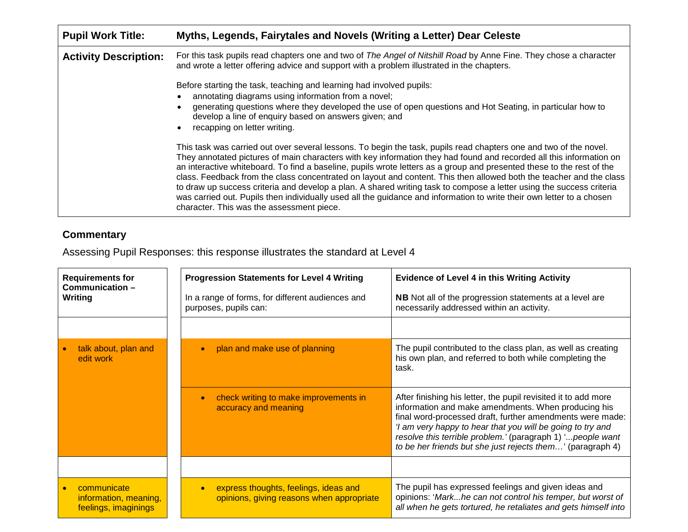| <b>Pupil Work Title:</b>     | Myths, Legends, Fairytales and Novels (Writing a Letter) Dear Celeste                                                                                                                                                                                                                                                                                                                                                                                                                                                                                                                                                                                                                                                                                                                  |
|------------------------------|----------------------------------------------------------------------------------------------------------------------------------------------------------------------------------------------------------------------------------------------------------------------------------------------------------------------------------------------------------------------------------------------------------------------------------------------------------------------------------------------------------------------------------------------------------------------------------------------------------------------------------------------------------------------------------------------------------------------------------------------------------------------------------------|
| <b>Activity Description:</b> | For this task pupils read chapters one and two of The Angel of Nitshill Road by Anne Fine. They chose a character<br>and wrote a letter offering advice and support with a problem illustrated in the chapters.                                                                                                                                                                                                                                                                                                                                                                                                                                                                                                                                                                        |
|                              | Before starting the task, teaching and learning had involved pupils:<br>annotating diagrams using information from a novel;<br>generating questions where they developed the use of open questions and Hot Seating, in particular how to<br>develop a line of enquiry based on answers given; and<br>recapping on letter writing.                                                                                                                                                                                                                                                                                                                                                                                                                                                      |
|                              | This task was carried out over several lessons. To begin the task, pupils read chapters one and two of the novel.<br>They annotated pictures of main characters with key information they had found and recorded all this information on<br>an interactive whiteboard. To find a baseline, pupils wrote letters as a group and presented these to the rest of the<br>class. Feedback from the class concentrated on layout and content. This then allowed both the teacher and the class<br>to draw up success criteria and develop a plan. A shared writing task to compose a letter using the success criteria<br>was carried out. Pupils then individually used all the guidance and information to write their own letter to a chosen<br>character. This was the assessment piece. |

## **Commentary**

Assessing Pupil Responses: this response illustrates the standard at Level 4

| <b>Requirements for</b><br>Communication-<br>Writing         | <b>Progression Statements for Level 4 Writing</b><br>In a range of forms, for different audiences and<br>purposes, pupils can: | <b>Evidence of Level 4 in this Writing Activity</b><br><b>NB</b> Not all of the progression statements at a level are<br>necessarily addressed within an activity.                                                                                                                                                                                                           |
|--------------------------------------------------------------|--------------------------------------------------------------------------------------------------------------------------------|------------------------------------------------------------------------------------------------------------------------------------------------------------------------------------------------------------------------------------------------------------------------------------------------------------------------------------------------------------------------------|
|                                                              |                                                                                                                                |                                                                                                                                                                                                                                                                                                                                                                              |
| talk about, plan and<br>edit work                            | plan and make use of planning                                                                                                  | The pupil contributed to the class plan, as well as creating<br>his own plan, and referred to both while completing the<br>task.                                                                                                                                                                                                                                             |
|                                                              | check writing to make improvements in<br>accuracy and meaning                                                                  | After finishing his letter, the pupil revisited it to add more<br>information and make amendments. When producing his<br>final word-processed draft, further amendments were made:<br>'I am very happy to hear that you will be going to try and<br>resolve this terrible problem.' (paragraph 1) 'people want<br>to be her friends but she just rejects them' (paragraph 4) |
|                                                              |                                                                                                                                |                                                                                                                                                                                                                                                                                                                                                                              |
| communicate<br>information, meaning,<br>feelings, imaginings | express thoughts, feelings, ideas and<br>opinions, giving reasons when appropriate                                             | The pupil has expressed feelings and given ideas and<br>opinions: 'Markhe can not control his temper, but worst of<br>all when he gets tortured, he retaliates and gets himself into                                                                                                                                                                                         |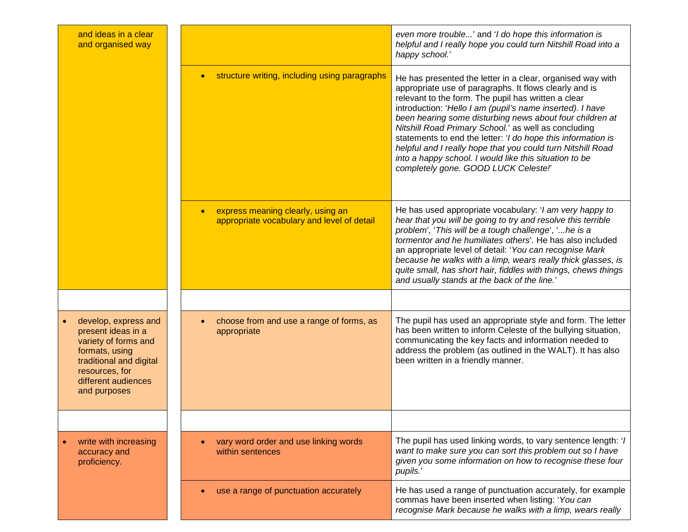| and ideas in a clear<br>and organised way                                                                                                                                |                                                                                              | even more trouble' and 'I do hope this information is<br>helpful and I really hope you could turn Nitshill Road into a<br>happy school.'                                                                                                                                                                                                                                                                                                                                                                                                                                                      |
|--------------------------------------------------------------------------------------------------------------------------------------------------------------------------|----------------------------------------------------------------------------------------------|-----------------------------------------------------------------------------------------------------------------------------------------------------------------------------------------------------------------------------------------------------------------------------------------------------------------------------------------------------------------------------------------------------------------------------------------------------------------------------------------------------------------------------------------------------------------------------------------------|
|                                                                                                                                                                          | structure writing, including using paragraphs                                                | He has presented the letter in a clear, organised way with<br>appropriate use of paragraphs. It flows clearly and is<br>relevant to the form. The pupil has written a clear<br>introduction: 'Hello I am (pupil's name inserted). I have<br>been hearing some disturbing news about four children at<br>Nitshill Road Primary School.' as well as concluding<br>statements to end the letter: 'I do hope this information is<br>helpful and I really hope that you could turn Nitshill Road<br>into a happy school. I would like this situation to be<br>completely gone. GOOD LUCK Celeste!' |
|                                                                                                                                                                          | express meaning clearly, using an<br>$\bullet$<br>appropriate vocabulary and level of detail | He has used appropriate vocabulary: 'I am very happy to<br>hear that you will be going to try and resolve this terrible<br>problem', 'This will be a tough challenge', ' he is a<br>tormentor and he humiliates others'. He has also included<br>an appropriate level of detail: 'You can recognise Mark<br>because he walks with a limp, wears really thick glasses, is<br>quite small, has short hair, fiddles with things, chews things<br>and usually stands at the back of the line.'                                                                                                    |
|                                                                                                                                                                          |                                                                                              |                                                                                                                                                                                                                                                                                                                                                                                                                                                                                                                                                                                               |
| develop, express and<br>present ideas in a<br>variety of forms and<br>formats, using<br>traditional and digital<br>resources, for<br>different audiences<br>and purposes | choose from and use a range of forms, as<br>appropriate                                      | The pupil has used an appropriate style and form. The letter<br>has been written to inform Celeste of the bullying situation,<br>communicating the key facts and information needed to<br>address the problem (as outlined in the WALT). It has also<br>been written in a friendly manner.                                                                                                                                                                                                                                                                                                    |
|                                                                                                                                                                          |                                                                                              |                                                                                                                                                                                                                                                                                                                                                                                                                                                                                                                                                                                               |
| write with increasing<br>accuracy and<br>proficiency.                                                                                                                    | vary word order and use linking words<br>within sentences                                    | The pupil has used linking words, to vary sentence length: 'I<br>want to make sure you can sort this problem out so I have<br>given you some information on how to recognise these four<br>pupils.'                                                                                                                                                                                                                                                                                                                                                                                           |
|                                                                                                                                                                          | use a range of punctuation accurately                                                        | He has used a range of punctuation accurately, for example<br>commas have been inserted when listing: 'You can<br>recognise Mark because he walks with a limp, wears really                                                                                                                                                                                                                                                                                                                                                                                                                   |